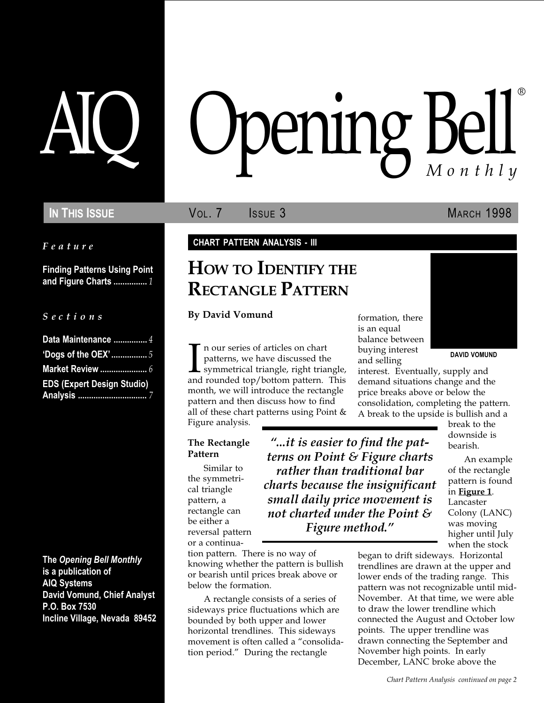Feature

Finding Patterns Using Point and Figure Charts ............... 1

#### S e c t i o n s

| Data Maintenance  4               |
|-----------------------------------|
| 'Dogs of the OEX'5                |
| <b>Market Review </b> 6           |
| <b>EDS (Expert Design Studio)</b> |
|                                   |

The Opening Bell Monthly is a publication of AIQ Systems David Vomund, Chief Analyst P.O. Box 7530 Incline Village, Nevada 89452

# pening Bell ®

IN THIS ISSUE **VOL. 7** ISSUE 3 MARCH 1998

#### CHART PATTERN ANALYSIS - III

## HOW TO IDENTIFY THE RECTANGLE PATTERN

By David Vomund

In our series of articles on chart<br>patterns, we have discussed the<br>symmetrical triangle, right triangle,<br>and rounded top/bottom pattern. This n our series of articles on chart patterns, we have discussed the **L** symmetrical triangle, right triangle, month, we will introduce the rectangle pattern and then discuss how to find all of these chart patterns using Point & Figure analysis.

#### The Rectangle Pattern

Similar to the symmetrical triangle pattern, a rectangle can be either a reversal pattern or a continua-

tion pattern. There is no way of knowing whether the pattern is bullish or bearish until prices break above or below the formation.

A rectangle consists of a series of sideways price fluctuations which are bounded by both upper and lower horizontal trendlines. This sideways movement is often called a "consolidation period." During the rectangle

formation, there is an equal balance between buying interest and selling

"...it is easier to find the patterns on Point & Figure charts rather than traditional bar charts because the insignificant small daily price movement is not charted under the Point & Figure method.



DAVID VOMUND

interest. Eventually, supply and demand situations change and the price breaks above or below the consolidation, completing the pattern. A break to the upside is bullish and a

break to the downside is bearish.

An example of the rectangle pattern is found in Figure 1. Lancaster Colony (LANC) was moving higher until July when the stock

began to drift sideways. Horizontal trendlines are drawn at the upper and lower ends of the trading range. This pattern was not recognizable until mid-November. At that time, we were able to draw the lower trendline which connected the August and October low points. The upper trendline was drawn connecting the September and November high points. In early December, LANC broke above the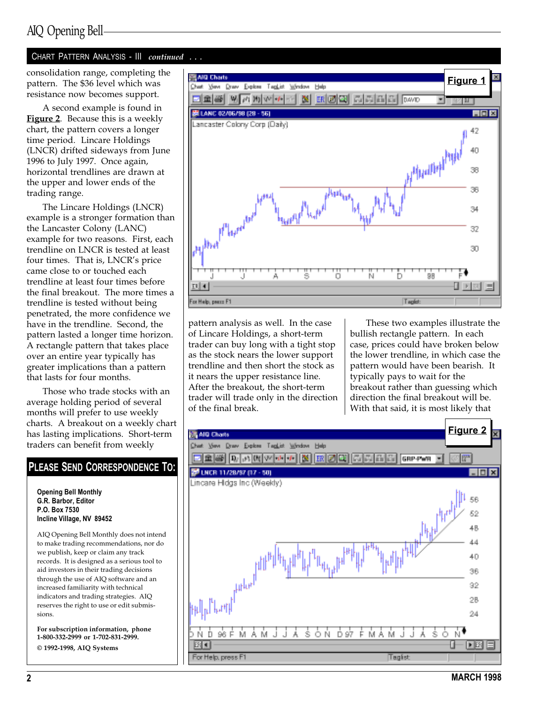#### CHART PATTERN ANALYSIS - III continued ...

pattern. The \$36 level which was resistance now becomes support.

A second example is found in **Figure 2.** Because this is a weekly chart, the pattern covers a longer time period. Lincare Holdings (LNCR) drifted sideways from June 1996 to July 1997. Once again, horizontal trendlines are drawn at the upper and lower ends of the trading range.

The Lincare Holdings (LNCR) example is a stronger formation than the Lancaster Colony (LANC) example for two reasons. First, each trendline on LNCR is tested at least four times. That is, LNCR's price came close to or touched each trendline at least four times before the final breakout. The more times a trendline is tested without being penetrated, the more confidence we have in the trendline. Second, the pattern lasted a longer time horizon. A rectangle pattern that takes place over an entire year typically has greater implications than a pattern that lasts for four months.

Those who trade stocks with an average holding period of several months will prefer to use weekly charts. A breakout on a weekly chart has lasting implications. Short-term traders can benefit from weekly

## PLEASE SEND CORRESPONDENCE TO:

Opening Bell Monthly G.R. Barbor, Editor P.O. Box 7530 Incline Village, NV 89452

AIQ Opening Bell Monthly does not intend to make trading recommendations, nor do we publish, keep or claim any track records. It is designed as a serious tool to aid investors in their trading decisions through the use of AIQ software and an increased familiarity with technical indicators and trading strategies. AIQ reserves the right to use or edit submissions.

For subscription information, phone 1-800-332-2999 or 1-702-831-2999.

© 1992-1998, AIQ Systems



pattern analysis as well. In the case of Lincare Holdings, a short-term trader can buy long with a tight stop as the stock nears the lower support trendline and then short the stock as it nears the upper resistance line. After the breakout, the short-term trader will trade only in the direction of the final break.

These two examples illustrate the bullish rectangle pattern. In each case, prices could have broken below the lower trendline, in which case the pattern would have been bearish. It typically pays to wait for the breakout rather than guessing which direction the final breakout will be. With that said, it is most likely that

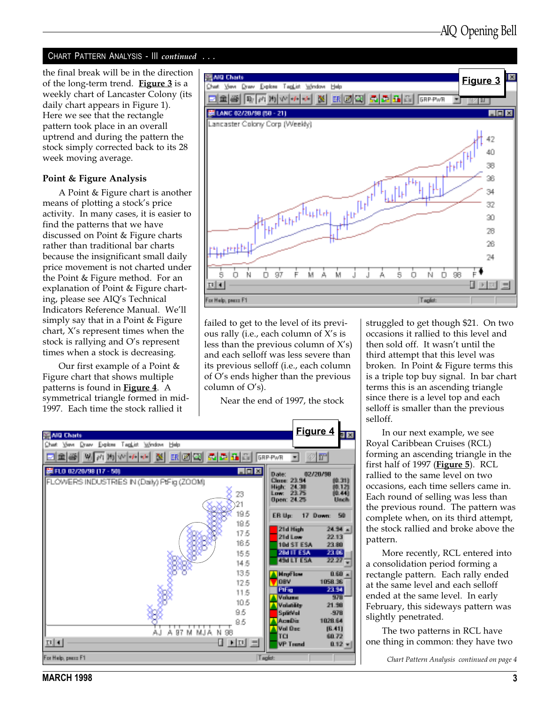#### CHART PATTERN ANALYSIS - III continued ...

the final break will be in the direction of the long-term trend. Figure  $3$  is a weekly chart of Lancaster Colony (its daily chart appears in Figure 1). Here we see that the rectangle pattern took place in an overall uptrend and during the pattern the stock simply corrected back to its 28 week moving average.

#### Point & Figure Analysis

A Point & Figure chart is another means of plotting a stock's price activity. In many cases, it is easier to find the patterns that we have discussed on Point & Figure charts rather than traditional bar charts because the insignificant small daily price movement is not charted under the Point & Figure method. For an explanation of Point & Figure charting, please see AIQ's Technical Indicators Reference Manual. We'll simply say that in a Point & Figure chart,  $X$ 's represent times when the stock is rallying and O's represent times when a stock is decreasing.

Our first example of a Point & Figure chart that shows multiple patterns is found in **Figure 4**. A symmetrical triangle formed in mid-1997. Each time the stock rallied it



failed to get to the level of its previous rally (i.e., each column of  $X$ 's is less than the previous column of  $X's$ ) and each selloff was less severe than its previous selloff (i.e., each column of O's ends higher than the previous column of  $O's$ ).

Near the end of 1997, the stock



struggled to get though \$21. On two occasions it rallied to this level and then sold off. It wasn't until the third attempt that this level was broken. In Point & Figure terms this is a triple top buy signal. In bar chart terms this is an ascending triangle since there is a level top and each selloff is smaller than the previous selloff.

In our next example, we see Royal Caribbean Cruises (RCL) forming an ascending triangle in the first half of 1997 (Figure 5). RCL rallied to the same level on two occasions, each time sellers came in. Each round of selling was less than the previous round. The pattern was complete when, on its third attempt, the stock rallied and broke above the pattern.

More recently, RCL entered into a consolidation period forming a rectangle pattern. Each rally ended at the same level and each selloff ended at the same level. In early February, this sideways pattern was slightly penetrated.

The two patterns in RCL have one thing in common: they have two

Chart Pattern Analysis continued on page 4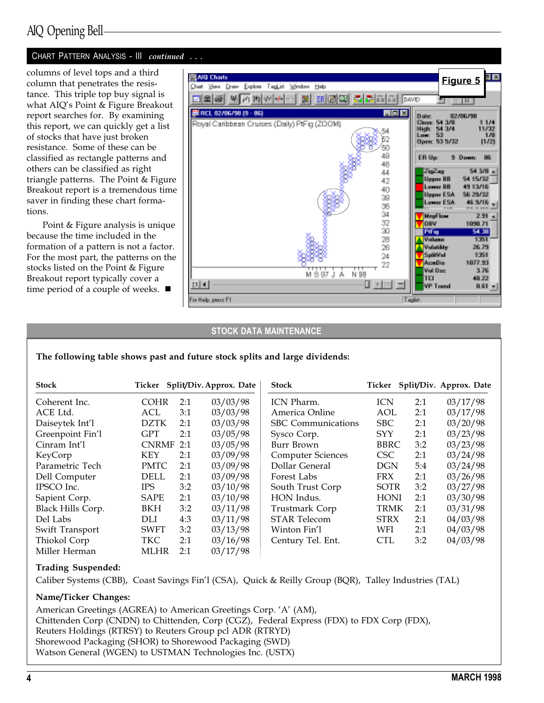#### CHART PATTERN ANALYSIS - III continued ...

columns of level tops and a third column that penetrates the resistance. This triple top buy signal is what AIQ's Point & Figure Breakout report searches for. By examining this report, we can quickly get a list of stocks that have just broken resistance. Some of these can be classified as rectangle patterns and others can be classified as right triangle patterns. The Point & Figure Breakout report is a tremendous time saver in finding these chart formations.

Point & Figure analysis is unique because the time included in the formation of a pattern is not a factor. For the most part, the patterns on the stocks listed on the Point & Figure Breakout report typically cover a time period of a couple of weeks.  $\blacksquare$ 



#### STOCK DATA MAINTENANCE

The following table shows past and future stock splits and large dividends:

| <b>Stock</b>      |              |     | Ticker Split/Div. Approx. Date | <b>Stock</b>              |             |     | Ticker Split/Div. Approx. Date |
|-------------------|--------------|-----|--------------------------------|---------------------------|-------------|-----|--------------------------------|
| Coherent Inc.     | <b>COHR</b>  | 2:1 | 03/03/98                       | ICN Pharm.                | <b>ICN</b>  | 2:1 | 03/17/98                       |
| ACE Ltd.          | ACL          | 3:1 | 03/03/98                       | America Online            | <b>AOL</b>  | 2:1 | 03/17/98                       |
| Daiseytek Int'l   | <b>DZTK</b>  | 2:1 | 03/03/98                       | <b>SBC</b> Communications | <b>SBC</b>  | 2:1 | 03/20/98                       |
| Greenpoint Fin'l  | GPT          | 2:1 | 03/05/98                       | Sysco Corp.               | <b>SYY</b>  | 2:1 | 03/23/98                       |
| Cinram Int'l      | <b>CNRMF</b> | 2:1 | 03/05/98                       | Burr Brown                | <b>BBRC</b> | 3:2 | 03/23/98                       |
| KeyCorp           | KEY          | 2:1 | 03/09/98                       | <b>Computer Sciences</b>  | <b>CSC</b>  | 2:1 | 03/24/98                       |
| Parametric Tech   | <b>PMTC</b>  | 2:1 | 03/09/98                       | Dollar General            | <b>DGN</b>  | 5:4 | 03/24/98                       |
| Dell Computer     | <b>DELL</b>  | 2:1 | 03/09/98                       | Forest Labs               | <b>FRX</b>  | 2:1 | 03/26/98                       |
| IPSCO Inc.        | <b>IPS</b>   | 3:2 | 03/10/98                       | South Trust Corp          | <b>SOTR</b> | 3:2 | 03/27/98                       |
| Sapient Corp.     | <b>SAPE</b>  | 2:1 | 03/10/98                       | HON Indus.                | <b>HONI</b> | 2:1 | 03/30/98                       |
| Black Hills Corp. | BKH          | 3:2 | 03/11/98                       | Trustmark Corp            | <b>TRMK</b> | 2:1 | 03/31/98                       |
| Del Labs          | DLI          | 4:3 | 03/11/98                       | <b>STAR Telecom</b>       | <b>STRX</b> | 2:1 | 04/03/98                       |
| Swift Transport   | <b>SWFT</b>  | 3:2 | 03/13/98                       | Winton Fin'l              | WFI         | 2:1 | 04/03/98                       |
| Thiokol Corp      | <b>TKC</b>   | 2:1 | 03/16/98                       | Century Tel. Ent.         | <b>CTL</b>  | 3:2 | 04/03/98                       |
| Miller Herman     | <b>MLHR</b>  | 2:1 | 03/17/98                       |                           |             |     |                                |

#### Trading Suspended:

Caliber Systems (CBB), Coast Savings Fin'l (CSA), Quick & Reilly Group (BQR), Talley Industries (TAL)

#### Name/Ticker Changes:

American Greetings (AGREA) to American Greetings Corp. 'A' (AM), Chittenden Corp (CNDN) to Chittenden, Corp (CGZ), Federal Express (FDX) to FDX Corp (FDX), Reuters Holdings (RTRSY) to Reuters Group pcl ADR (RTRYD) Shorewood Packaging (SHOR) to Shorewood Packaging (SWD) Watson General (WGEN) to USTMAN Technologies Inc. (USTX)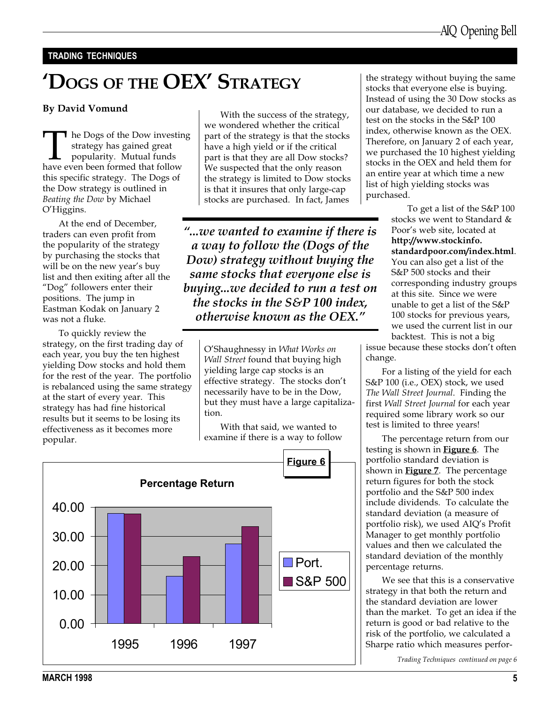#### TRADING TECHNIQUES

# 'Dogs of the OEX' Strategy

#### By David Vomund

The Dogs of the Dow investing<br>strategy has gained great<br>popularity. Mutual funds<br>have even been formed that follow strategy has gained great popularity. Mutual funds this specific strategy. The Dogs of the Dow strategy is outlined in Beating the Dow by Michael O'Higgins.

At the end of December, traders can even profit from the popularity of the strategy by purchasing the stocks that will be on the new year's buy list and then exiting after all the "Dog" followers enter their positions. The jump in Eastman Kodak on January 2 was not a fluke.

To quickly review the strategy, on the first trading day of each year, you buy the ten highest yielding Dow stocks and hold them for the rest of the year. The portfolio is rebalanced using the same strategy at the start of every year. This strategy has had fine historical results but it seems to be losing its effectiveness as it becomes more popular.

With the success of the strategy, we wondered whether the critical part of the strategy is that the stocks have a high yield or if the critical part is that they are all Dow stocks? We suspected that the only reason the strategy is limited to Dow stocks is that it insures that only large-cap stocks are purchased. In fact, James

...we wanted to examine if there is a way to follow the (Dogs of the Dow) strategy without buying the same stocks that everyone else is buying...we decided to run a test on the stocks in the S&P 100 index, otherwise known as the OEX.

> O'Shaughnessy in What Works on Wall Street found that buying high yielding large cap stocks is an effective strategy. The stocks don't necessarily have to be in the Dow, but they must have a large capitalization.

With that said, we wanted to examine if there is a way to follow



the strategy without buying the same stocks that everyone else is buying. Instead of using the 30 Dow stocks as our database, we decided to run a test on the stocks in the S&P 100 index, otherwise known as the OEX. Therefore, on January 2 of each year, we purchased the 10 highest yielding stocks in the OEX and held them for an entire year at which time a new list of high yielding stocks was purchased.

> To get a list of the S&P 100 stocks we went to Standard & Poor's web site, located at http://www.stockinfo. standardpoor.com/index.html. You can also get a list of the S&P 500 stocks and their corresponding industry groups at this site. Since we were unable to get a list of the S&P 100 stocks for previous years, we used the current list in our backtest. This is not a big

issue because these stocks don't often change.

For a listing of the yield for each S&P 100 (i.e., OEX) stock, we used The Wall Street Journal. Finding the first Wall Street Journal for each year required some library work so our test is limited to three years!

The percentage return from our testing is shown in **Figure 6**. The portfolio standard deviation is shown in **Figure 7**. The percentage return figures for both the stock portfolio and the S&P 500 index include dividends. To calculate the standard deviation (a measure of portfolio risk), we used AIQ's Profit Manager to get monthly portfolio values and then we calculated the standard deviation of the monthly percentage returns.

We see that this is a conservative strategy in that both the return and the standard deviation are lower than the market. To get an idea if the return is good or bad relative to the risk of the portfolio, we calculated a Sharpe ratio which measures perfor-

Trading Techniques continued on page 6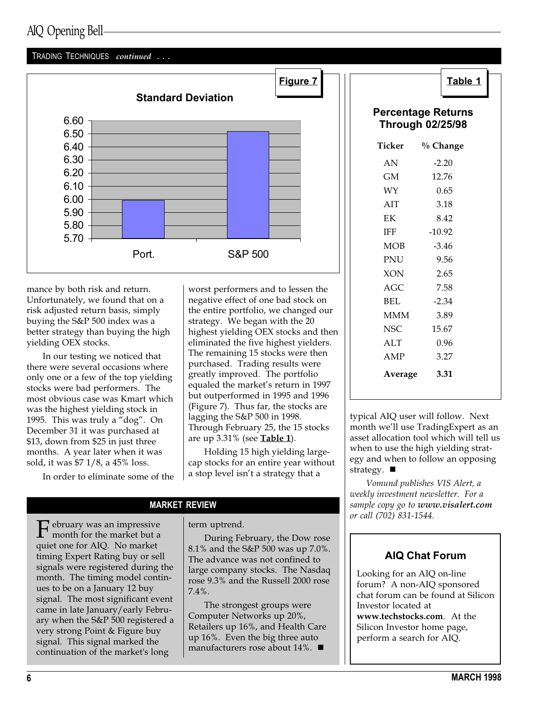#### TRADING TECHNIQUES continued ...



mance by both risk and return. Unfortunately, we found that on a risk adjusted return basis, simply buying the S&P 500 index was a better strategy than buying the high yielding OEX stocks.

In our testing we noticed that there were several occasions where only one or a few of the top yielding stocks were bad performers. The most obvious case was Kmart which was the highest yielding stock in 1995. This was truly a "dog". On December 31 it was purchased at \$13, down from \$25 in just three months. A year later when it was sold, it was \$7 1/8, a 45% loss.

In order to eliminate some of the

worst performers and to lessen the negative effect of one bad stock on the entire portfolio, we changed our strategy. We began with the 20 highest yielding OEX stocks and then eliminated the five highest yielders. The remaining 15 stocks were then purchased. Trading results were greatly improved. The portfolio equaled the market's return in 1997 but outperformed in 1995 and 1996 (Figure 7). Thus far, the stocks are lagging the S&P 500 in 1998. Through February 25, the 15 stocks are up  $3.31\%$  (see Table 1).

Holding 15 high yielding largecap stocks for an entire year without a stop level isn't a strategy that a

#### MARKET REVIEW

 $\Gamma$  ebruary was an impressive<br>month for the market but a<br>wish are for AIO. No market quiet one for AIQ. No market timing Expert Rating buy or sell signals were registered during the month. The timing model continues to be on a January 12 buy signal. The most significant event came in late January/early February when the S&P 500 registered a very strong Point & Figure buy signal. This signal marked the continuation of the market's long

#### term uptrend.

During February, the Dow rose 8.1% and the S&P 500 was up 7.0%. The advance was not confined to large company stocks. The Nasdaq rose 9.3% and the Russell 2000 rose 7.4%.

The strongest groups were Computer Networks up 20%, Retailers up 16%, and Health Care up 16%. Even the big three auto manufacturers rose about  $14\%$ .

| œ | ι.<br>٠ |  |
|---|---------|--|
|   |         |  |

#### Percentage Returns Through 02/25/98

| Ticker     | % Change |  |
|------------|----------|--|
| AN         | $-2.20$  |  |
| GM         | 12.76    |  |
| WY         | 0.65     |  |
| AIT        | 3.18     |  |
| EK         | 8.42     |  |
| IFF        | $-10.92$ |  |
| <b>MOB</b> | $-3.46$  |  |
| <b>PNU</b> | 9.56     |  |
| XON        | 2.65     |  |
| AGC        | 7.58     |  |
| <b>BEL</b> | $-2.34$  |  |
| <b>MMM</b> | 3.89     |  |
| NSC        | 15.67    |  |
| ALT        | 0.96     |  |
| AMP        | 3.27     |  |
| Average    | 3.31     |  |

typical AIQ user will follow. Next month we'll use TradingExpert as an asset allocation tool which will tell us when to use the high yielding strategy and when to follow an opposing strategy.  $\blacksquare$ 

Vomund publishes VIS Alert, a weekly investment newsletter. For a sample copy go to www.visalert.com or call (702) 831-1544.

## AIQ Chat Forum

Looking for an AIQ on-line forum? A non-AIQ sponsored chat forum can be found at Silicon Investor located at www.techstocks.com. At the Silicon Investor home page, perform a search for AIQ.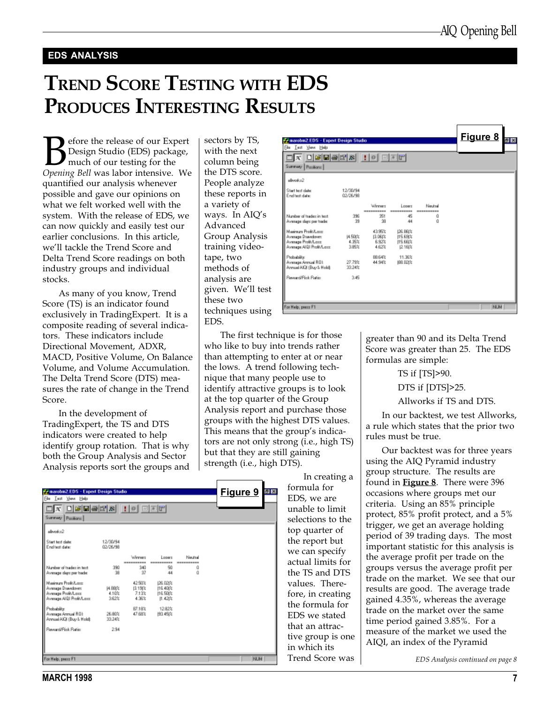#### EDS ANALYSIS

## TREND SCORE TESTING WITH EDS PRODUCES INTERESTING RESULTS

efore the release of our Expert Design Studio (EDS) package, much of our testing for the Opening Bell was labor intensive. We quantified our analysis whenever possible and gave our opinions on what we felt worked well with the system. With the release of EDS, we can now quickly and easily test our earlier conclusions. In this article, we'll tackle the Trend Score and Delta Trend Score readings on both industry groups and individual stocks.

As many of you know, Trend Score (TS) is an indicator found exclusively in TradingExpert. It is a composite reading of several indicators. These indicators include Directional Movement, ADXR, MACD, Positive Volume, On Balance Volume, and Volume Accumulation. The Delta Trend Score (DTS) measures the rate of change in the Trend Score.

In the development of TradingExpert, the TS and DTS indicators were created to help identify group rotation. That is why both the Group Analysis and Sector Analysis reports sort the groups and

| P. marebn 2.EDS - Expert Design Studio                                                          |                           |                                    |                                             |                             | <b>Figure 9</b> | S B |
|-------------------------------------------------------------------------------------------------|---------------------------|------------------------------------|---------------------------------------------|-----------------------------|-----------------|-----|
| Film Inst Your Help                                                                             |                           |                                    |                                             |                             |                 |     |
| <u>x debeck in der</u><br>Summary Pasificns                                                     |                           |                                    |                                             |                             |                 |     |
| alloyed-12                                                                                      |                           |                                    |                                             |                             |                 |     |
| Start text date:<br>End test date:                                                              | 12/30/94<br>02/26/98      |                                    |                                             |                             |                 |     |
| Number of trader in text.<br>Avesage dags per tsade:                                            | 390<br>38                 | Winner<br>340<br>37                | Longro<br>50<br>44                          | Neutral<br>------<br>ű<br>ű |                 |     |
| Maginum Profit/Loss<br>Avesage Dsavedover:<br>Avesage Profit/Lass<br>Avesage AI BI Profit/Lass: | 14.88(%<br>4.10%<br>3.62% | 42.50%<br>[119]%<br>7.13%<br>4.36% | 126.021%<br>116,400%<br>116.500%<br>11.421% |                             |                 |     |
| Probability:<br>Avenua Armuel ROE<br>Annual AIGI (Buy & Hold):                                  | 26.80%<br>33.24%          | B7.18%<br>47.68%                   | 1282%<br>193,452%                           |                             |                 |     |
| Reward/Fisk Ratio:                                                                              | 2.94                      |                                    |                                             |                             |                 |     |
| For Help, peace F1                                                                              |                           |                                    |                                             |                             | <b>NUM</b>      |     |

| sectors by TS,    |
|-------------------|
| with the next     |
| column being      |
| the DTS score.    |
| People analyze    |
| these reports in  |
| a variety of      |
| ways. In AIQ's    |
| Advanced          |
| Group Analysis    |
| training video-   |
| tape, two         |
| methods of        |
| analysis are      |
| given. We'll test |
| these two         |
| techniques using  |
| EDS.              |
|                   |

| <b>Frimanobn2.EDS - Expert Design Studio</b>                                                |                                  |                                    |                                              |                      | Figure 8   | 图图 |
|---------------------------------------------------------------------------------------------|----------------------------------|------------------------------------|----------------------------------------------|----------------------|------------|----|
| Eile Isat View Help                                                                         |                                  |                                    |                                              |                      |            |    |
| <b>Summary</b><br>Parifiarra                                                                |                                  |                                    |                                              |                      |            |    |
| alloyed-x2                                                                                  |                                  |                                    |                                              |                      |            |    |
| Start text date:<br>End test date:                                                          | 12/30/94<br>02/26/98             |                                    |                                              |                      |            |    |
|                                                                                             |                                  | Winners                            | Longro                                       | <b>Nordsal</b>       |            |    |
| Number of tradez in text.<br>Avesage days per tsade:                                        | 396<br>39                        | 351<br>38                          | 45<br>44                                     | ----------<br>ű<br>ű |            |    |
| Mainun Profi/Lora<br>Avesage Dsavdovet<br>Avesage Profit/Last<br>Avesage AI BI Profit/Lass: | <b>14.50t%</b><br>4.99%<br>3.85% | 4395%<br>13.06(%<br>6.92%<br>4.62% | 126, 861%<br>115.69(%<br>115,681%<br>12.16t% |                      |            |    |
| Probability<br>Avenage Armual ROL<br>Annual AIGI (Buy & Hold):                              | 27.79%<br>33.24%                 | BB 64%<br>44.94%                   | 11.36%<br>188.021%                           |                      |            |    |
| Reward/Fisk Ratio:                                                                          | 3.45                             |                                    |                                              |                      |            |    |
| For Help, peace F1                                                                          |                                  |                                    |                                              |                      | <b>NUM</b> |    |

The first technique is for those who like to buy into trends rather than attempting to enter at or near the lows. A trend following technique that many people use to identify attractive groups is to look at the top quarter of the Group Analysis report and purchase those groups with the highest DTS values. This means that the group's indicators are not only strong (i.e., high TS) but that they are still gaining strength (i.e., high DTS).

In creating a formula for EDS, we are unable to limit selections to the top quarter of the report but we can specify actual limits for the TS and DTS values. Therefore, in creating the formula for EDS we stated that an attractive group is one in which its Trend Score was greater than 90 and its Delta Trend Score was greater than 25. The EDS formulas are simple:

TS if [TS]>90.

DTS if [DTS]>25.

Allworks if TS and DTS.

In our backtest, we test Allworks, a rule which states that the prior two rules must be true.

Our backtest was for three years using the AIQ Pyramid industry group structure. The results are found in **Figure 8**. There were 396 occasions where groups met our criteria. Using an 85% principle protect, 85% profit protect, and a 5% trigger, we get an average holding period of 39 trading days. The most important statistic for this analysis is the average profit per trade on the groups versus the average profit per trade on the market. We see that our results are good. The average trade gained 4.35%, whereas the average trade on the market over the same time period gained 3.85%. For a measure of the market we used the AIQI, an index of the Pyramid

EDS Analysis continued on page 8